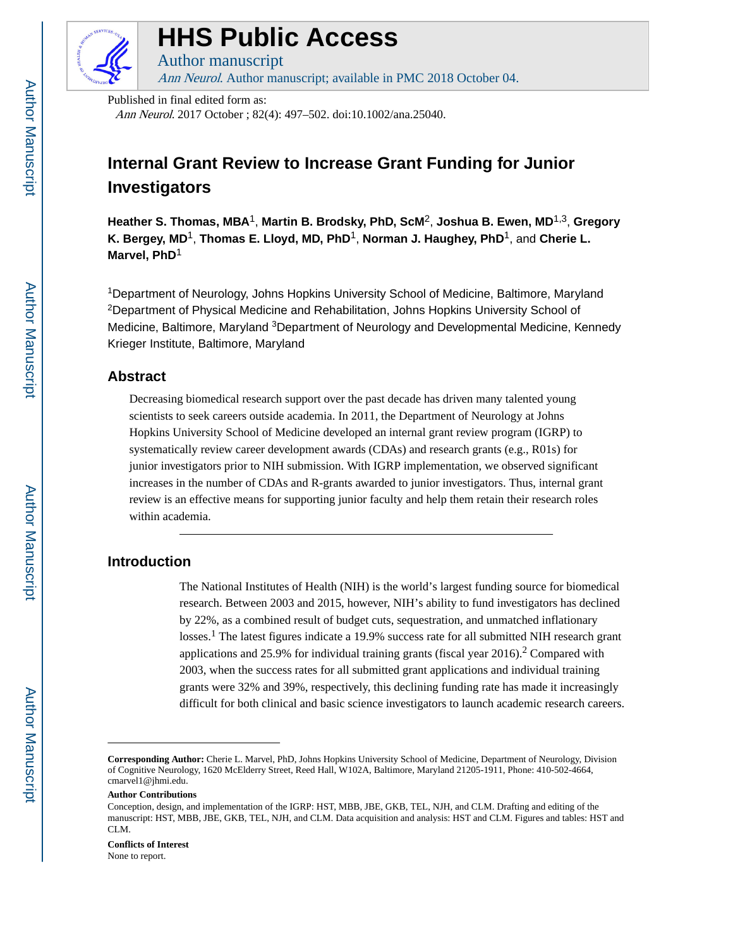

# **HHS Public Access**

Author manuscript Ann Neurol. Author manuscript; available in PMC 2018 October 04.

Published in final edited form as:

Ann Neurol. 2017 October ; 82(4): 497–502. doi:10.1002/ana.25040.

# **Internal Grant Review to Increase Grant Funding for Junior Investigators**

**Heather S. Thomas, MBA**1, **Martin B. Brodsky, PhD, ScM**2, **Joshua B. Ewen, MD**1,3, **Gregory K. Bergey, MD**1, **Thomas E. Lloyd, MD, PhD**1, **Norman J. Haughey, PhD**1, and **Cherie L. Marvel, PhD**<sup>1</sup>

<sup>1</sup>Department of Neurology, Johns Hopkins University School of Medicine, Baltimore, Maryland <sup>2</sup>Department of Physical Medicine and Rehabilitation, Johns Hopkins University School of Medicine, Baltimore, Maryland <sup>3</sup>Department of Neurology and Developmental Medicine, Kennedy Krieger Institute, Baltimore, Maryland

#### **Abstract**

Decreasing biomedical research support over the past decade has driven many talented young scientists to seek careers outside academia. In 2011, the Department of Neurology at Johns Hopkins University School of Medicine developed an internal grant review program (IGRP) to systematically review career development awards (CDAs) and research grants (e.g., R01s) for junior investigators prior to NIH submission. With IGRP implementation, we observed significant increases in the number of CDAs and R-grants awarded to junior investigators. Thus, internal grant review is an effective means for supporting junior faculty and help them retain their research roles within academia.

# **Introduction**

The National Institutes of Health (NIH) is the world's largest funding source for biomedical research. Between 2003 and 2015, however, NIH's ability to fund investigators has declined by 22%, as a combined result of budget cuts, sequestration, and unmatched inflationary losses.<sup>1</sup> The latest figures indicate a 19.9% success rate for all submitted NIH research grant applications and 25.9% for individual training grants (fiscal year  $2016$ ).<sup>2</sup> Compared with 2003, when the success rates for all submitted grant applications and individual training grants were 32% and 39%, respectively, this declining funding rate has made it increasingly difficult for both clinical and basic science investigators to launch academic research careers.

#### **Conflicts of Interest**

None to report.

**Corresponding Author:** Cherie L. Marvel, PhD, Johns Hopkins University School of Medicine, Department of Neurology, Division of Cognitive Neurology, 1620 McElderry Street, Reed Hall, W102A, Baltimore, Maryland 21205-1911, Phone: 410-502-4664, cmarvel1@jhmi.edu.

**Author Contributions**

Conception, design, and implementation of the IGRP: HST, MBB, JBE, GKB, TEL, NJH, and CLM. Drafting and editing of the manuscript: HST, MBB, JBE, GKB, TEL, NJH, and CLM. Data acquisition and analysis: HST and CLM. Figures and tables: HST and CLM.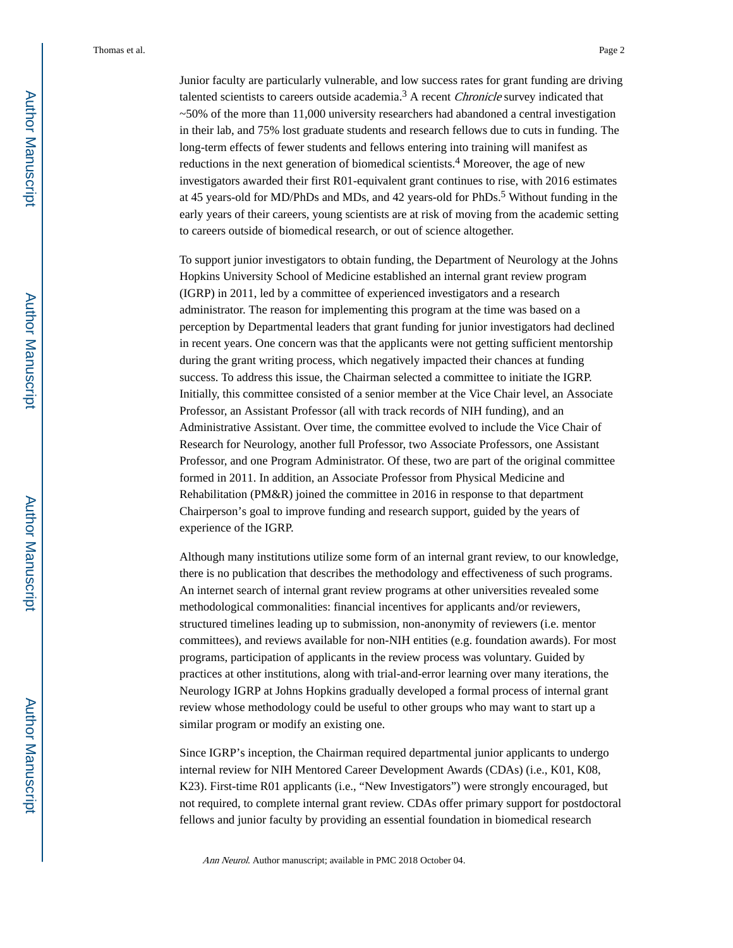Junior faculty are particularly vulnerable, and low success rates for grant funding are driving talented scientists to careers outside academia.<sup>3</sup> A recent *Chronicle* survey indicated that ~50% of the more than 11,000 university researchers had abandoned a central investigation in their lab, and 75% lost graduate students and research fellows due to cuts in funding. The long-term effects of fewer students and fellows entering into training will manifest as reductions in the next generation of biomedical scientists.<sup>4</sup> Moreover, the age of new investigators awarded their first R01-equivalent grant continues to rise, with 2016 estimates at 45 years-old for MD/PhDs and MDs, and 42 years-old for PhDs.<sup>5</sup> Without funding in the early years of their careers, young scientists are at risk of moving from the academic setting to careers outside of biomedical research, or out of science altogether.

To support junior investigators to obtain funding, the Department of Neurology at the Johns Hopkins University School of Medicine established an internal grant review program (IGRP) in 2011, led by a committee of experienced investigators and a research administrator. The reason for implementing this program at the time was based on a perception by Departmental leaders that grant funding for junior investigators had declined in recent years. One concern was that the applicants were not getting sufficient mentorship during the grant writing process, which negatively impacted their chances at funding success. To address this issue, the Chairman selected a committee to initiate the IGRP. Initially, this committee consisted of a senior member at the Vice Chair level, an Associate Professor, an Assistant Professor (all with track records of NIH funding), and an Administrative Assistant. Over time, the committee evolved to include the Vice Chair of Research for Neurology, another full Professor, two Associate Professors, one Assistant Professor, and one Program Administrator. Of these, two are part of the original committee formed in 2011. In addition, an Associate Professor from Physical Medicine and Rehabilitation (PM&R) joined the committee in 2016 in response to that department Chairperson's goal to improve funding and research support, guided by the years of experience of the IGRP.

Although many institutions utilize some form of an internal grant review, to our knowledge, there is no publication that describes the methodology and effectiveness of such programs. An internet search of internal grant review programs at other universities revealed some methodological commonalities: financial incentives for applicants and/or reviewers, structured timelines leading up to submission, non-anonymity of reviewers (i.e. mentor committees), and reviews available for non-NIH entities (e.g. foundation awards). For most programs, participation of applicants in the review process was voluntary. Guided by practices at other institutions, along with trial-and-error learning over many iterations, the Neurology IGRP at Johns Hopkins gradually developed a formal process of internal grant review whose methodology could be useful to other groups who may want to start up a similar program or modify an existing one.

Since IGRP's inception, the Chairman required departmental junior applicants to undergo internal review for NIH Mentored Career Development Awards (CDAs) (i.e., K01, K08, K23). First-time R01 applicants (i.e., "New Investigators") were strongly encouraged, but not required, to complete internal grant review. CDAs offer primary support for postdoctoral fellows and junior faculty by providing an essential foundation in biomedical research

Ann Neurol. Author manuscript; available in PMC 2018 October 04.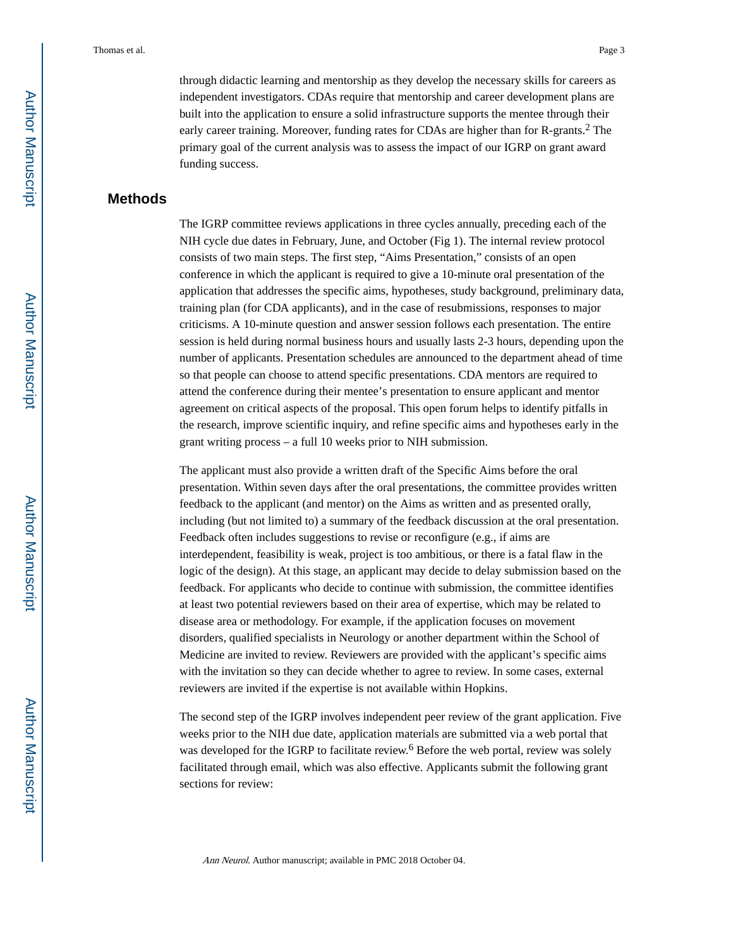through didactic learning and mentorship as they develop the necessary skills for careers as independent investigators. CDAs require that mentorship and career development plans are built into the application to ensure a solid infrastructure supports the mentee through their early career training. Moreover, funding rates for CDAs are higher than for R-grants.<sup>2</sup> The primary goal of the current analysis was to assess the impact of our IGRP on grant award funding success.

#### **Methods**

The IGRP committee reviews applications in three cycles annually, preceding each of the NIH cycle due dates in February, June, and October (Fig 1). The internal review protocol consists of two main steps. The first step, "Aims Presentation," consists of an open conference in which the applicant is required to give a 10-minute oral presentation of the application that addresses the specific aims, hypotheses, study background, preliminary data, training plan (for CDA applicants), and in the case of resubmissions, responses to major criticisms. A 10-minute question and answer session follows each presentation. The entire session is held during normal business hours and usually lasts 2-3 hours, depending upon the number of applicants. Presentation schedules are announced to the department ahead of time so that people can choose to attend specific presentations. CDA mentors are required to attend the conference during their mentee's presentation to ensure applicant and mentor agreement on critical aspects of the proposal. This open forum helps to identify pitfalls in the research, improve scientific inquiry, and refine specific aims and hypotheses early in the grant writing process – a full 10 weeks prior to NIH submission.

The applicant must also provide a written draft of the Specific Aims before the oral presentation. Within seven days after the oral presentations, the committee provides written feedback to the applicant (and mentor) on the Aims as written and as presented orally, including (but not limited to) a summary of the feedback discussion at the oral presentation. Feedback often includes suggestions to revise or reconfigure (e.g., if aims are interdependent, feasibility is weak, project is too ambitious, or there is a fatal flaw in the logic of the design). At this stage, an applicant may decide to delay submission based on the feedback. For applicants who decide to continue with submission, the committee identifies at least two potential reviewers based on their area of expertise, which may be related to disease area or methodology. For example, if the application focuses on movement disorders, qualified specialists in Neurology or another department within the School of Medicine are invited to review. Reviewers are provided with the applicant's specific aims with the invitation so they can decide whether to agree to review. In some cases, external reviewers are invited if the expertise is not available within Hopkins.

The second step of the IGRP involves independent peer review of the grant application. Five weeks prior to the NIH due date, application materials are submitted via a web portal that was developed for the IGRP to facilitate review.<sup>6</sup> Before the web portal, review was solely facilitated through email, which was also effective. Applicants submit the following grant sections for review:

Ann Neurol. Author manuscript; available in PMC 2018 October 04.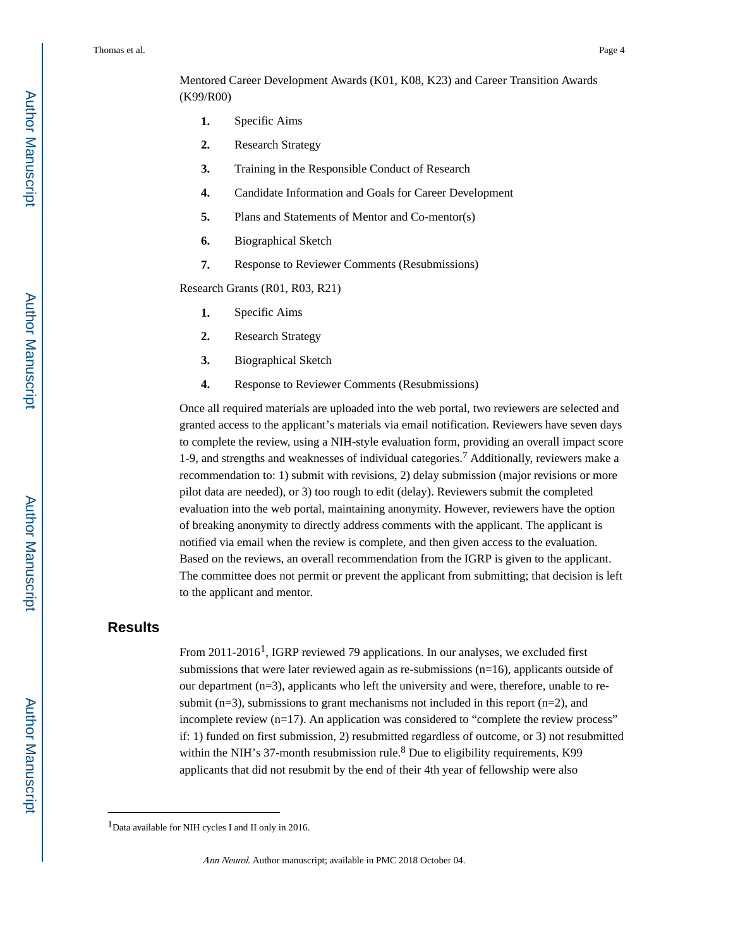Mentored Career Development Awards (K01, K08, K23) and Career Transition Awards (K99/R00)

- **1.** Specific Aims
- **2.** Research Strategy
- **3.** Training in the Responsible Conduct of Research
- **4.** Candidate Information and Goals for Career Development
- **5.** Plans and Statements of Mentor and Co-mentor(s)
- **6.** Biographical Sketch
- **7.** Response to Reviewer Comments (Resubmissions)

Research Grants (R01, R03, R21)

- **1.** Specific Aims
- **2.** Research Strategy
- **3.** Biographical Sketch
- **4.** Response to Reviewer Comments (Resubmissions)

Once all required materials are uploaded into the web portal, two reviewers are selected and granted access to the applicant's materials via email notification. Reviewers have seven days to complete the review, using a NIH-style evaluation form, providing an overall impact score 1-9, and strengths and weaknesses of individual categories.<sup>7</sup> Additionally, reviewers make a recommendation to: 1) submit with revisions, 2) delay submission (major revisions or more pilot data are needed), or 3) too rough to edit (delay). Reviewers submit the completed evaluation into the web portal, maintaining anonymity. However, reviewers have the option of breaking anonymity to directly address comments with the applicant. The applicant is notified via email when the review is complete, and then given access to the evaluation. Based on the reviews, an overall recommendation from the IGRP is given to the applicant. The committee does not permit or prevent the applicant from submitting; that decision is left to the applicant and mentor.

### **Results**

From 2011-2016<sup>1</sup>, IGRP reviewed 79 applications. In our analyses, we excluded first submissions that were later reviewed again as re-submissions (n=16), applicants outside of our department  $(n=3)$ , applicants who left the university and were, therefore, unable to resubmit  $(n=3)$ , submissions to grant mechanisms not included in this report  $(n=2)$ , and incomplete review (n=17). An application was considered to "complete the review process" if: 1) funded on first submission, 2) resubmitted regardless of outcome, or 3) not resubmitted within the NIH's 37-month resubmission rule.<sup>8</sup> Due to eligibility requirements, K99 applicants that did not resubmit by the end of their 4th year of fellowship were also

<sup>&</sup>lt;sup>1</sup>Data available for NIH cycles I and II only in 2016.

Ann Neurol. Author manuscript; available in PMC 2018 October 04.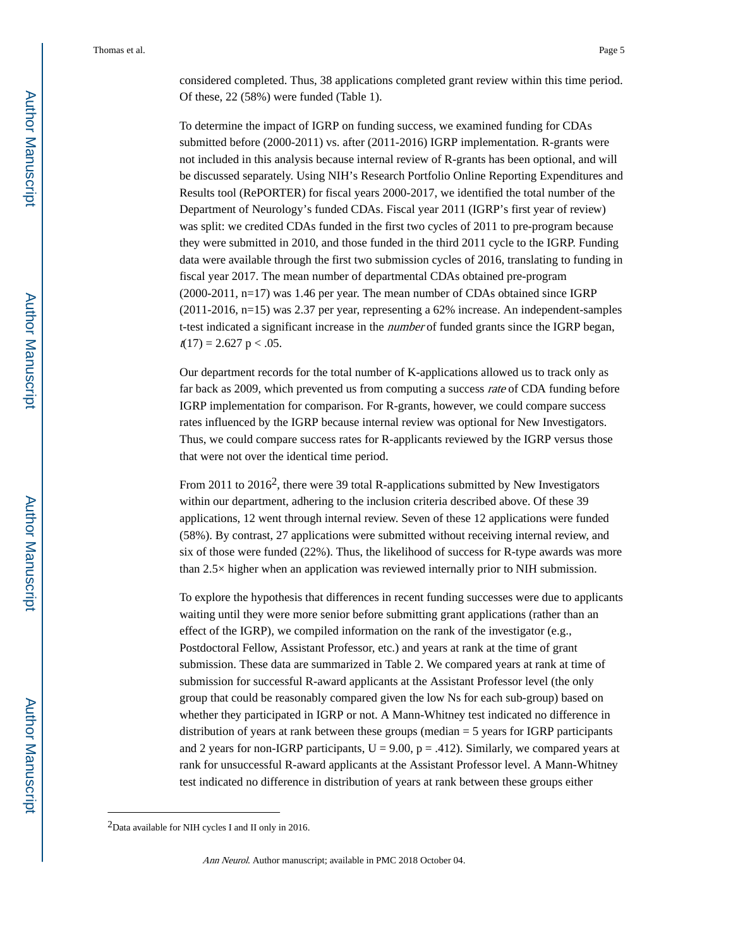considered completed. Thus, 38 applications completed grant review within this time period. Of these, 22 (58%) were funded (Table 1).

To determine the impact of IGRP on funding success, we examined funding for CDAs submitted before (2000-2011) vs. after (2011-2016) IGRP implementation. R-grants were not included in this analysis because internal review of R-grants has been optional, and will be discussed separately. Using NIH's Research Portfolio Online Reporting Expenditures and Results tool (RePORTER) for fiscal years 2000-2017, we identified the total number of the Department of Neurology's funded CDAs. Fiscal year 2011 (IGRP's first year of review) was split: we credited CDAs funded in the first two cycles of 2011 to pre-program because they were submitted in 2010, and those funded in the third 2011 cycle to the IGRP. Funding data were available through the first two submission cycles of 2016, translating to funding in fiscal year 2017. The mean number of departmental CDAs obtained pre-program (2000-2011, n=17) was 1.46 per year. The mean number of CDAs obtained since IGRP (2011-2016, n=15) was 2.37 per year, representing a 62% increase. An independent-samples t-test indicated a significant increase in the *number* of funded grants since the IGRP began,  $t(17) = 2.627$  p < .05.

Our department records for the total number of K-applications allowed us to track only as far back as 2009, which prevented us from computing a success rate of CDA funding before IGRP implementation for comparison. For R-grants, however, we could compare success rates influenced by the IGRP because internal review was optional for New Investigators. Thus, we could compare success rates for R-applicants reviewed by the IGRP versus those that were not over the identical time period.

From 2011 to  $2016^2$ , there were 39 total R-applications submitted by New Investigators within our department, adhering to the inclusion criteria described above. Of these 39 applications, 12 went through internal review. Seven of these 12 applications were funded (58%). By contrast, 27 applications were submitted without receiving internal review, and six of those were funded (22%). Thus, the likelihood of success for R-type awards was more than 2.5× higher when an application was reviewed internally prior to NIH submission.

To explore the hypothesis that differences in recent funding successes were due to applicants waiting until they were more senior before submitting grant applications (rather than an effect of the IGRP), we compiled information on the rank of the investigator (e.g., Postdoctoral Fellow, Assistant Professor, etc.) and years at rank at the time of grant submission. These data are summarized in Table 2. We compared years at rank at time of submission for successful R-award applicants at the Assistant Professor level (the only group that could be reasonably compared given the low Ns for each sub-group) based on whether they participated in IGRP or not. A Mann-Whitney test indicated no difference in distribution of years at rank between these groups (median = 5 years for IGRP participants and 2 years for non-IGRP participants,  $U = 9.00$ ,  $p = .412$ ). Similarly, we compared years at rank for unsuccessful R-award applicants at the Assistant Professor level. A Mann-Whitney test indicated no difference in distribution of years at rank between these groups either

 $2$ Data available for NIH cycles I and II only in 2016.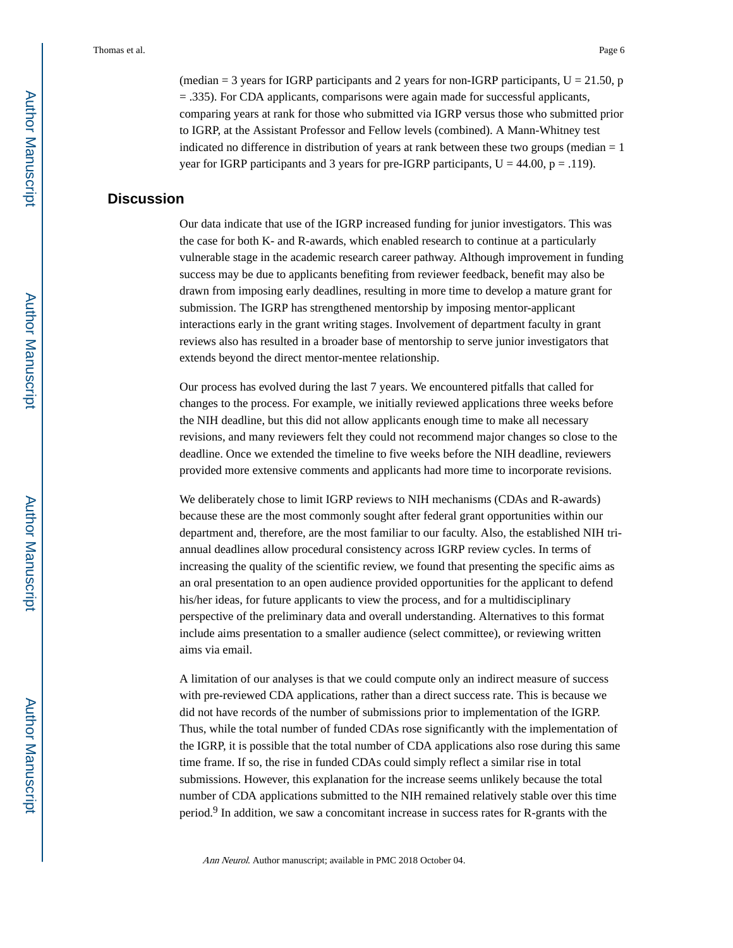(median  $=$  3 years for IGRP participants and 2 years for non-IGRP participants, U  $=$  21.50, p = .335). For CDA applicants, comparisons were again made for successful applicants, comparing years at rank for those who submitted via IGRP versus those who submitted prior to IGRP, at the Assistant Professor and Fellow levels (combined). A Mann-Whitney test indicated no difference in distribution of years at rank between these two groups (median  $= 1$ ) year for IGRP participants and 3 years for pre-IGRP participants,  $U = 44.00$ ,  $p = .119$ ).

## **Discussion**

Our data indicate that use of the IGRP increased funding for junior investigators. This was the case for both K- and R-awards, which enabled research to continue at a particularly vulnerable stage in the academic research career pathway. Although improvement in funding success may be due to applicants benefiting from reviewer feedback, benefit may also be drawn from imposing early deadlines, resulting in more time to develop a mature grant for submission. The IGRP has strengthened mentorship by imposing mentor-applicant interactions early in the grant writing stages. Involvement of department faculty in grant reviews also has resulted in a broader base of mentorship to serve junior investigators that extends beyond the direct mentor-mentee relationship.

Our process has evolved during the last 7 years. We encountered pitfalls that called for changes to the process. For example, we initially reviewed applications three weeks before the NIH deadline, but this did not allow applicants enough time to make all necessary revisions, and many reviewers felt they could not recommend major changes so close to the deadline. Once we extended the timeline to five weeks before the NIH deadline, reviewers provided more extensive comments and applicants had more time to incorporate revisions.

We deliberately chose to limit IGRP reviews to NIH mechanisms (CDAs and R-awards) because these are the most commonly sought after federal grant opportunities within our department and, therefore, are the most familiar to our faculty. Also, the established NIH triannual deadlines allow procedural consistency across IGRP review cycles. In terms of increasing the quality of the scientific review, we found that presenting the specific aims as an oral presentation to an open audience provided opportunities for the applicant to defend his/her ideas, for future applicants to view the process, and for a multidisciplinary perspective of the preliminary data and overall understanding. Alternatives to this format include aims presentation to a smaller audience (select committee), or reviewing written aims via email.

A limitation of our analyses is that we could compute only an indirect measure of success with pre-reviewed CDA applications, rather than a direct success rate. This is because we did not have records of the number of submissions prior to implementation of the IGRP. Thus, while the total number of funded CDAs rose significantly with the implementation of the IGRP, it is possible that the total number of CDA applications also rose during this same time frame. If so, the rise in funded CDAs could simply reflect a similar rise in total submissions. However, this explanation for the increase seems unlikely because the total number of CDA applications submitted to the NIH remained relatively stable over this time period.<sup>9</sup> In addition, we saw a concomitant increase in success rates for R-grants with the

Ann Neurol. Author manuscript; available in PMC 2018 October 04.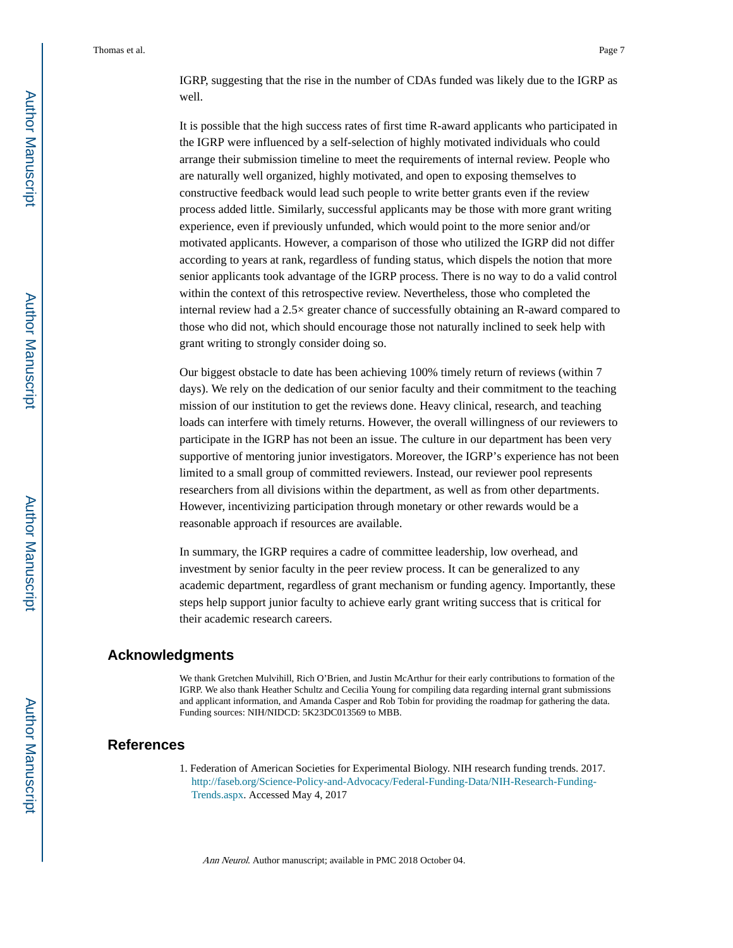IGRP, suggesting that the rise in the number of CDAs funded was likely due to the IGRP as well.

It is possible that the high success rates of first time R-award applicants who participated in the IGRP were influenced by a self-selection of highly motivated individuals who could arrange their submission timeline to meet the requirements of internal review. People who are naturally well organized, highly motivated, and open to exposing themselves to constructive feedback would lead such people to write better grants even if the review process added little. Similarly, successful applicants may be those with more grant writing experience, even if previously unfunded, which would point to the more senior and/or motivated applicants. However, a comparison of those who utilized the IGRP did not differ according to years at rank, regardless of funding status, which dispels the notion that more senior applicants took advantage of the IGRP process. There is no way to do a valid control within the context of this retrospective review. Nevertheless, those who completed the internal review had a 2.5× greater chance of successfully obtaining an R-award compared to those who did not, which should encourage those not naturally inclined to seek help with grant writing to strongly consider doing so.

Our biggest obstacle to date has been achieving 100% timely return of reviews (within 7 days). We rely on the dedication of our senior faculty and their commitment to the teaching mission of our institution to get the reviews done. Heavy clinical, research, and teaching loads can interfere with timely returns. However, the overall willingness of our reviewers to participate in the IGRP has not been an issue. The culture in our department has been very supportive of mentoring junior investigators. Moreover, the IGRP's experience has not been limited to a small group of committed reviewers. Instead, our reviewer pool represents researchers from all divisions within the department, as well as from other departments. However, incentivizing participation through monetary or other rewards would be a reasonable approach if resources are available.

In summary, the IGRP requires a cadre of committee leadership, low overhead, and investment by senior faculty in the peer review process. It can be generalized to any academic department, regardless of grant mechanism or funding agency. Importantly, these steps help support junior faculty to achieve early grant writing success that is critical for their academic research careers.

#### **Acknowledgments**

We thank Gretchen Mulvihill, Rich O'Brien, and Justin McArthur for their early contributions to formation of the IGRP. We also thank Heather Schultz and Cecilia Young for compiling data regarding internal grant submissions and applicant information, and Amanda Casper and Rob Tobin for providing the roadmap for gathering the data. Funding sources: NIH/NIDCD: 5K23DC013569 to MBB.

#### **References**

1. Federation of American Societies for Experimental Biology. NIH research funding trends. 2017. [http://faseb.org/Science-Policy-and-Advocacy/Federal-Funding-Data/NIH-Research-Funding-](http://faseb.org/Science-Policy-and-Advocacy/Federal-Funding-Data/NIH-Research-Funding-Trends.aspx)[Trends.aspx](http://faseb.org/Science-Policy-and-Advocacy/Federal-Funding-Data/NIH-Research-Funding-Trends.aspx). Accessed May 4, 2017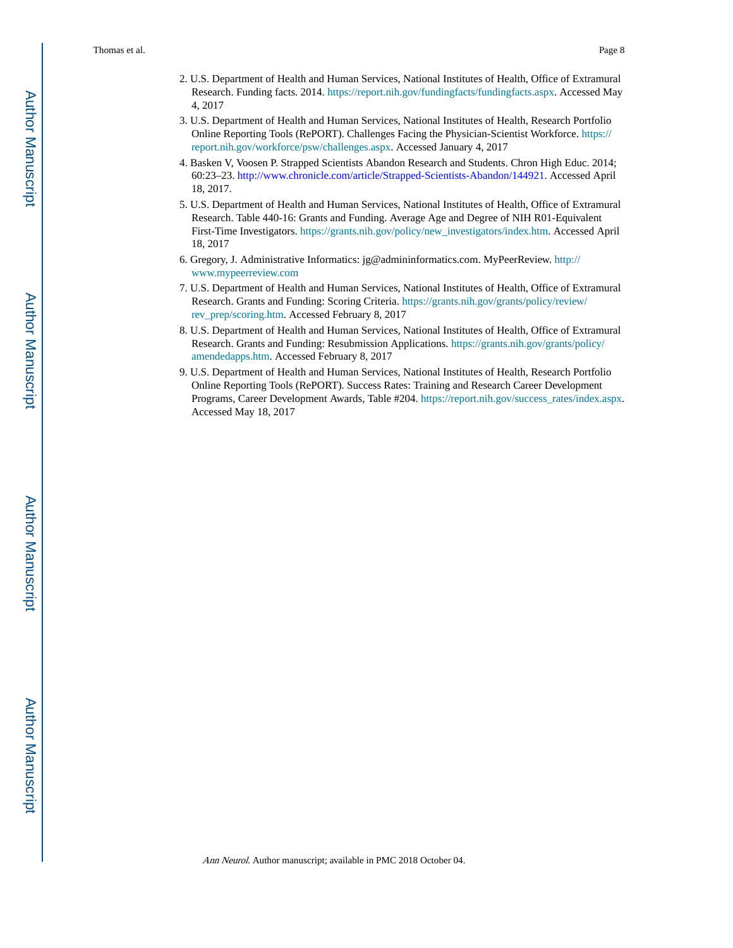- 2. U.S. Department of Health and Human Services, National Institutes of Health, Office of Extramural Research. Funding facts. 2014. <https://report.nih.gov/fundingfacts/fundingfacts.aspx>. Accessed May 4, 2017
- 3. U.S. Department of Health and Human Services, National Institutes of Health, Research Portfolio Online Reporting Tools (RePORT). Challenges Facing the Physician-Scientist Workforce. [https://](https://report.nih.gov/workforce/psw/challenges.aspx) [report.nih.gov/workforce/psw/challenges.aspx](https://report.nih.gov/workforce/psw/challenges.aspx). Accessed January 4, 2017
- 4. Basken V, Voosen P. Strapped Scientists Abandon Research and Students. Chron High Educ. 2014; 60:23–23. [http://www.chronicle.com/article/Strapped-Scientists-Abandon/144921.](http://www.chronicle.com/article/Strapped-Scientists-Abandon/144921) Accessed April 18, 2017.
- 5. U.S. Department of Health and Human Services, National Institutes of Health, Office of Extramural Research. Table 440-16: Grants and Funding. Average Age and Degree of NIH R01-Equivalent First-Time Investigators. [https://grants.nih.gov/policy/new\\_investigators/index.htm.](https://grants.nih.gov/policy/new_investigators/index.htm) Accessed April 18, 2017
- 6. Gregory, J. Administrative Informatics: jg@admininformatics.com. MyPeerReview. [http://](http://www.mypeerreview.com) [www.mypeerreview.com](http://www.mypeerreview.com)
- 7. U.S. Department of Health and Human Services, National Institutes of Health, Office of Extramural Research. Grants and Funding: Scoring Criteria. [https://grants.nih.gov/grants/policy/review/](https://grants.nih.gov/grants/policy/review/rev_prep/scoring.htm) [rev\\_prep/scoring.htm](https://grants.nih.gov/grants/policy/review/rev_prep/scoring.htm). Accessed February 8, 2017
- 8. U.S. Department of Health and Human Services, National Institutes of Health, Office of Extramural Research. Grants and Funding: Resubmission Applications. [https://grants.nih.gov/grants/policy/](https://grants.nih.gov/grants/policy/amendedapps.htm) [amendedapps.htm](https://grants.nih.gov/grants/policy/amendedapps.htm). Accessed February 8, 2017
- 9. U.S. Department of Health and Human Services, National Institutes of Health, Research Portfolio Online Reporting Tools (RePORT). Success Rates: Training and Research Career Development Programs, Career Development Awards, Table #204. [https://report.nih.gov/success\\_rates/index.aspx.](https://report.nih.gov/success_rates/index.aspx) Accessed May 18, 2017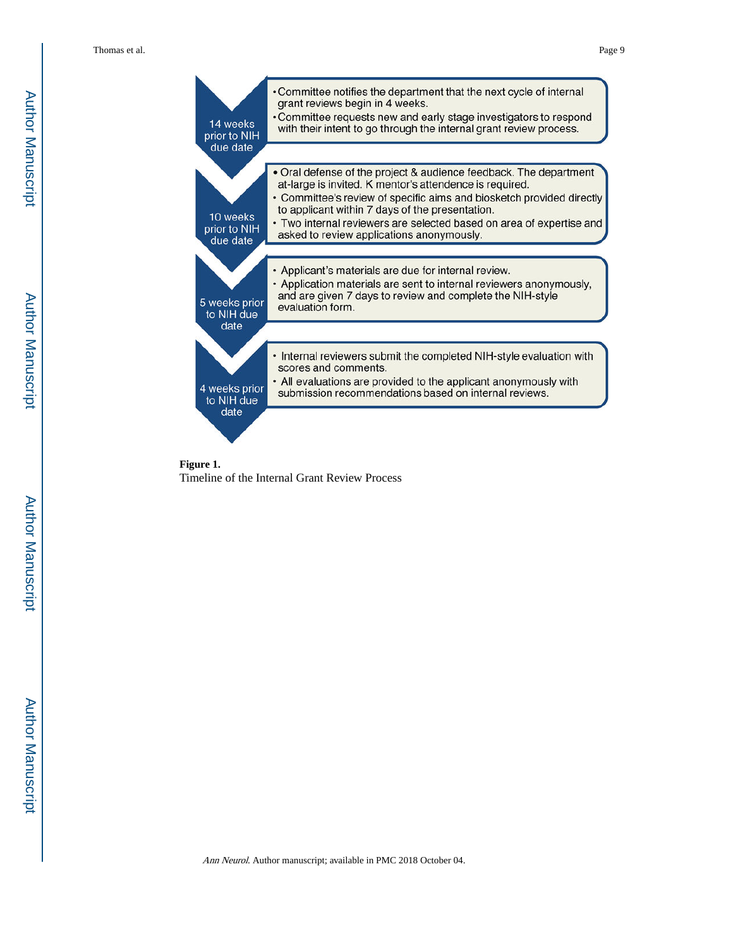



Ann Neurol. Author manuscript; available in PMC 2018 October 04.

Author Manuscript

Author Manuscript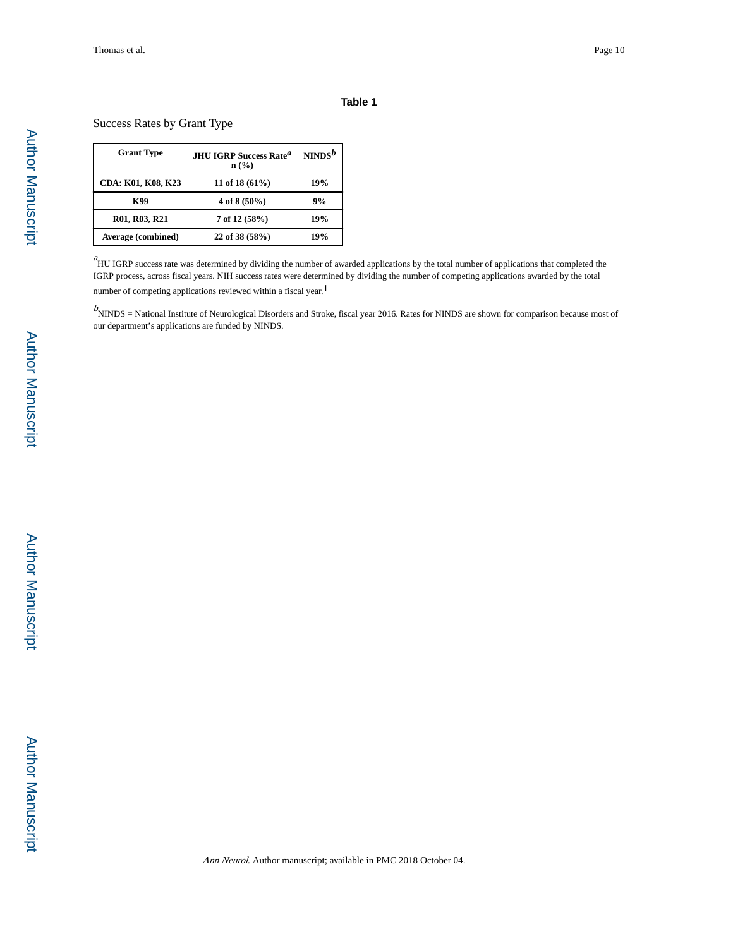#### **Table 1**

Success Rates by Grant Type

| <b>Grant Type</b>  | <b>JHU IGRP Success Rate<sup>a</sup></b><br>$n$ (%) | $NINDS^b$ |
|--------------------|-----------------------------------------------------|-----------|
| CDA: K01, K08, K23 | 11 of 18 $(61\%)$                                   | 19%       |
| K99                | 4 of 8 $(50\%)$                                     | 9%        |
| R01, R03, R21      | $7$ of 12 (58%)                                     | 19%       |
| Average (combined) | 22 of 38 (58%)                                      | 19%       |

 $a<sup>a</sup>$ HU IGRP success rate was determined by dividing the number of awarded applications by the total number of applications that completed the IGRP process, across fiscal years. NIH success rates were determined by dividing the number of competing applications awarded by the total number of competing applications reviewed within a fiscal year.<sup>1</sup>

 $b$  NINDS = National Institute of Neurological Disorders and Stroke, fiscal year 2016. Rates for NINDS are shown for comparison because most of our department's applications are funded by NINDS.